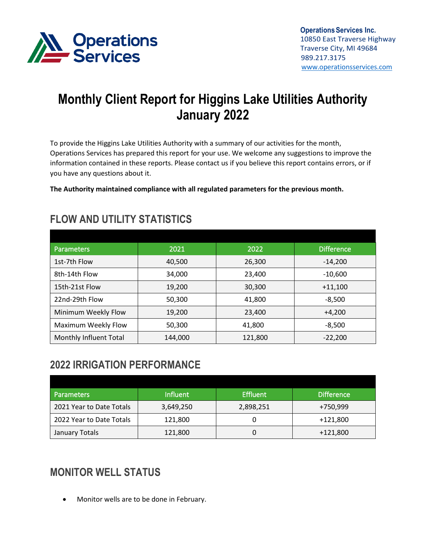

# **Monthly Client Report for Higgins Lake Utilities Authority January 2022**

To provide the Higgins Lake Utilities Authority with a summary of our activities for the month, Operations Services has prepared this report for your use. We welcome any suggestions to improve the information contained in these reports. Please contact us if you believe this report contains errors, or if you have any questions about it.

**The Authority maintained compliance with all regulated parameters for the previous month.**

| <b>Parameters</b>      | 2021    | 2022    | <b>Difference</b> |
|------------------------|---------|---------|-------------------|
| 1st-7th Flow           | 40,500  | 26,300  | $-14,200$         |
| 8th-14th Flow          | 34,000  | 23,400  | $-10,600$         |
| 15th-21st Flow         | 19,200  | 30,300  | $+11,100$         |
| 22nd-29th Flow         | 50,300  | 41,800  | $-8,500$          |
| Minimum Weekly Flow    | 19,200  | 23,400  | $+4,200$          |
| Maximum Weekly Flow    | 50,300  | 41,800  | $-8,500$          |
| Monthly Influent Total | 144,000 | 121,800 | $-22,200$         |

# **FLOW AND UTILITY STATISTICS**

# **2022 IRRIGATION PERFORMANCE**

| <b>Parameters</b>        | <b>Influent</b> | <b>Effluent</b> | <b>Difference</b> |
|--------------------------|-----------------|-----------------|-------------------|
| 2021 Year to Date Totals | 3,649,250       | 2,898,251       | +750,999          |
| 2022 Year to Date Totals | 121,800         |                 | +121,800          |
| January Totals           | 121,800         |                 | $+121,800$        |

# **MONITOR WELL STATUS**

• Monitor wells are to be done in February.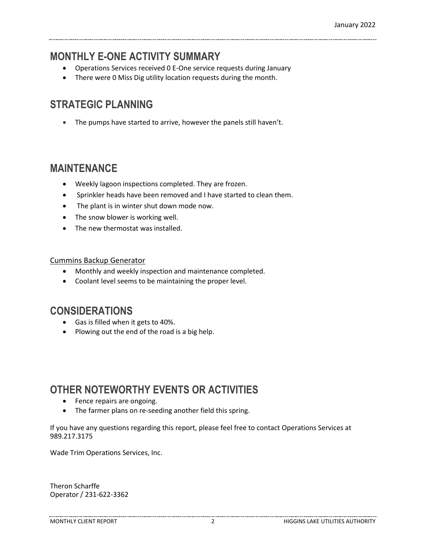# **MONTHLY E-ONE ACTIVITY SUMMARY**

- Operations Services received 0 E-One service requests during January
- There were 0 Miss Dig utility location requests during the month.

# **STRATEGIC PLANNING**

• The pumps have started to arrive, however the panels still haven't.

# **MAINTENANCE**

- Weekly lagoon inspections completed. They are frozen.
- Sprinkler heads have been removed and I have started to clean them.
- The plant is in winter shut down mode now.
- The snow blower is working well.
- The new thermostat was installed.

#### Cummins Backup Generator

- Monthly and weekly inspection and maintenance completed.
- Coolant level seems to be maintaining the proper level.

#### **CONSIDERATIONS**

- Gas is filled when it gets to 40%.
- Plowing out the end of the road is a big help.

#### **OTHER NOTEWORTHY EVENTS OR ACTIVITIES**

- Fence repairs are ongoing.
- The farmer plans on re-seeding another field this spring.

If you have any questions regarding this report, please feel free to contact Operations Services at 989.217.3175

Wade Trim Operations Services, Inc.

Theron Scharffe Operator / 231-622-3362